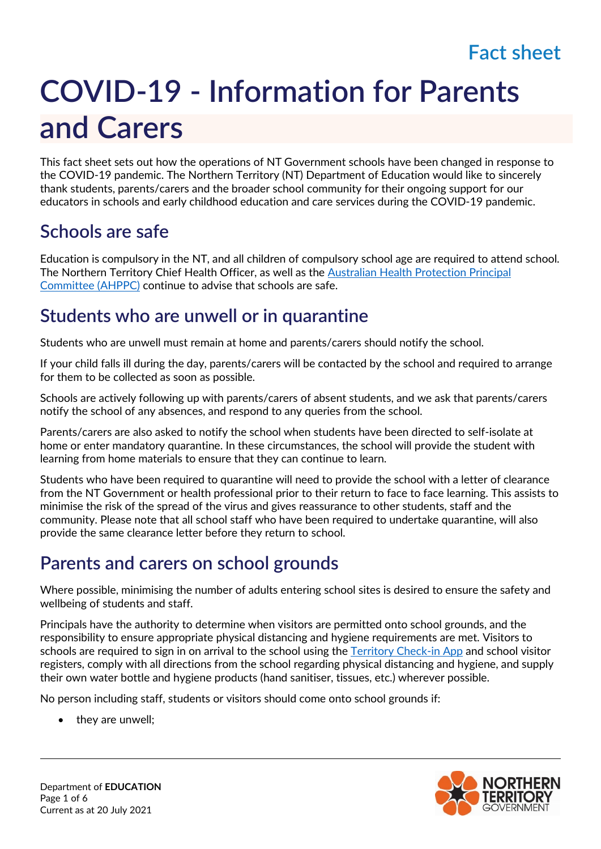# **COVID-19 - Information for Parents and Carers**

This fact sheet sets out how the operations of NT Government schools have been changed in response to the COVID-19 pandemic. The Northern Territory (NT) Department of Education would like to sincerely thank students, parents/carers and the broader school community for their ongoing support for our educators in schools and early childhood education and care services during the COVID-19 pandemic.

#### **Schools are safe**

Education is compulsory in the NT, and all children of compulsory school age are required to attend school. The Northern Territory Chief Health Officer, as well as the [Australian Health Protection Principal](https://www.health.gov.au/news/australian-health-protection-principal-committee-ahppc-advice-on-reducing-the-potential-risk-of-covid-19-transmission-in-schools-24-april-2020)  [Committee \(AHPPC\)](https://www.health.gov.au/news/australian-health-protection-principal-committee-ahppc-advice-on-reducing-the-potential-risk-of-covid-19-transmission-in-schools-24-april-2020) continue to advise that schools are safe.

#### **Students who are unwell or in quarantine**

Students who are unwell must remain at home and parents/carers should notify the school.

If your child falls ill during the day, parents/carers will be contacted by the school and required to arrange for them to be collected as soon as possible.

Schools are actively following up with parents/carers of absent students, and we ask that parents/carers notify the school of any absences, and respond to any queries from the school.

Parents/carers are also asked to notify the school when students have been directed to self-isolate at home or enter mandatory quarantine. In these circumstances, the school will provide the student with learning from home materials to ensure that they can continue to learn.

Students who have been required to quarantine will need to provide the school with a letter of clearance from the NT Government or health professional prior to their return to face to face learning. This assists to minimise the risk of the spread of the virus and gives reassurance to other students, staff and the community. Please note that all school staff who have been required to undertake quarantine, will also provide the same clearance letter before they return to school.

# **Parents and carers on school grounds**

Where possible, minimising the number of adults entering school sites is desired to ensure the safety and wellbeing of students and staff.

Principals have the authority to determine when visitors are permitted onto school grounds, and the responsibility to ensure appropriate physical distancing and hygiene requirements are met. Visitors to schools are required to sign in on arrival to the school using the [Territory Check-in App](https://coronavirus.nt.gov.au/stay-safe/check-in-app) and school visitor registers, comply with all directions from the school regarding physical distancing and hygiene, and supply their own water bottle and hygiene products (hand sanitiser, tissues, etc.) wherever possible.

No person including staff, students or visitors should come onto school grounds if:

they are unwell;

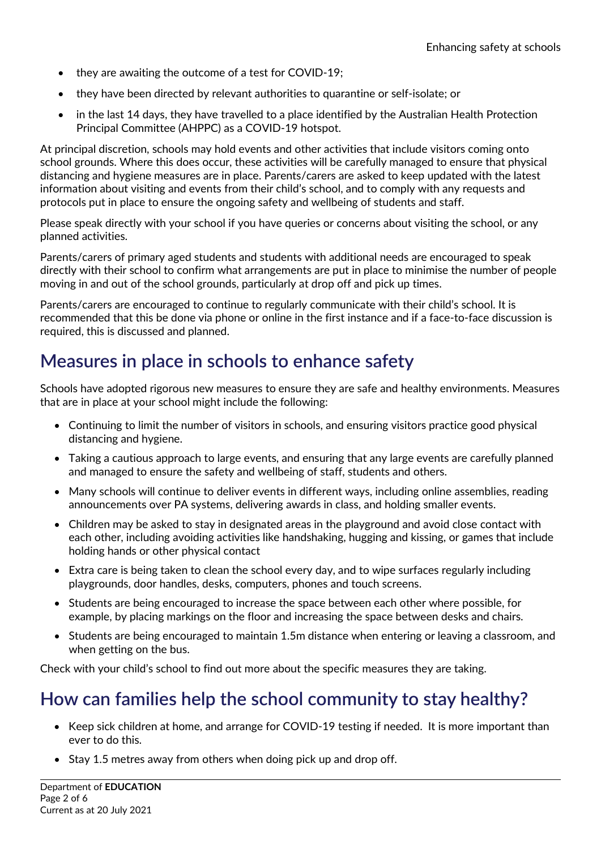- they are awaiting the outcome of a test for COVID-19;
- they have been directed by relevant authorities to quarantine or self-isolate; or
- in the last 14 days, they have travelled to a place identified by the Australian Health Protection Principal Committee (AHPPC) as a COVID-19 hotspot.

At principal discretion, schools may hold events and other activities that include visitors coming onto school grounds. Where this does occur, these activities will be carefully managed to ensure that physical distancing and hygiene measures are in place. Parents/carers are asked to keep updated with the latest information about visiting and events from their child's school, and to comply with any requests and protocols put in place to ensure the ongoing safety and wellbeing of students and staff.

Please speak directly with your school if you have queries or concerns about visiting the school, or any planned activities.

Parents/carers of primary aged students and students with additional needs are encouraged to speak directly with their school to confirm what arrangements are put in place to minimise the number of people moving in and out of the school grounds, particularly at drop off and pick up times.

Parents/carers are encouraged to continue to regularly communicate with their child's school. It is recommended that this be done via phone or online in the first instance and if a face-to-face discussion is required, this is discussed and planned.

#### **Measures in place in schools to enhance safety**

Schools have adopted rigorous new measures to ensure they are safe and healthy environments. Measures that are in place at your school might include the following:

- Continuing to limit the number of visitors in schools, and ensuring visitors practice good physical distancing and hygiene.
- Taking a cautious approach to large events, and ensuring that any large events are carefully planned and managed to ensure the safety and wellbeing of staff, students and others.
- Many schools will continue to deliver events in different ways, including online assemblies, reading announcements over PA systems, delivering awards in class, and holding smaller events.
- Children may be asked to stay in designated areas in the playground and avoid close contact with each other, including avoiding activities like handshaking, hugging and kissing, or games that include holding hands or other physical contact
- Extra care is being taken to clean the school every day, and to wipe surfaces regularly including playgrounds, door handles, desks, computers, phones and touch screens.
- Students are being encouraged to increase the space between each other where possible, for example, by placing markings on the floor and increasing the space between desks and chairs.
- Students are being encouraged to maintain 1.5m distance when entering or leaving a classroom, and when getting on the bus.

Check with your child's school to find out more about the specific measures they are taking.

#### **How can families help the school community to stay healthy?**

- Keep sick children at home, and arrange for COVID-19 testing if needed. It is more important than ever to do this.
- Stay 1.5 metres away from others when doing pick up and drop off.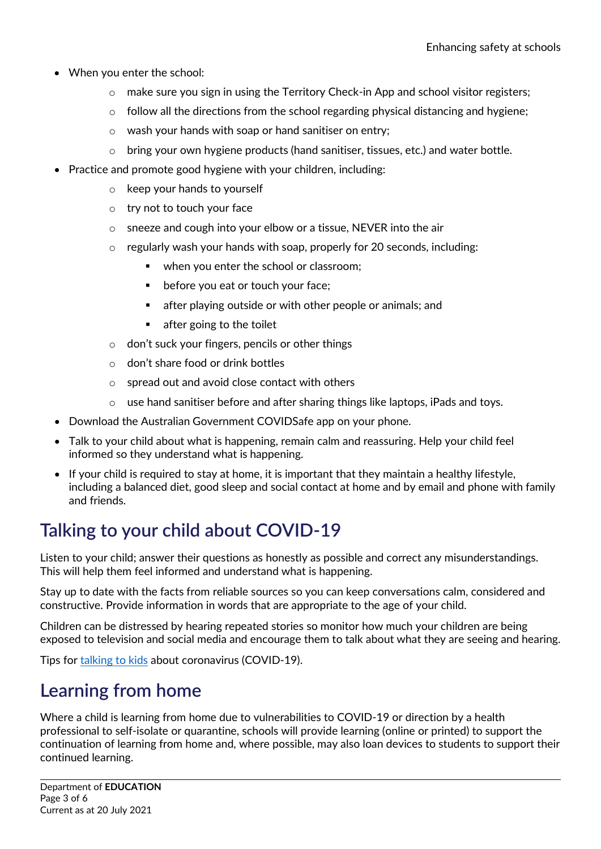- When you enter the school:
	- $\circ$  make sure you sign in using the Territory Check-in App and school visitor registers;
	- o follow all the directions from the school regarding physical distancing and hygiene;
	- o wash your hands with soap or hand sanitiser on entry;
	- $\circ$  bring your own hygiene products (hand sanitiser, tissues, etc.) and water bottle.
- Practice and promote good hygiene with your children, including:
	- o keep your hands to yourself
	- o try not to touch your face
	- o sneeze and cough into your elbow or a tissue, NEVER into the air
	- o regularly wash your hands with soap, properly for 20 seconds, including:
		- when you enter the school or classroom;
		- **•** before you eat or touch your face;
		- **EXECT** after playing outside or with other people or animals; and
		- **a** after going to the toilet
	- o don't suck your fingers, pencils or other things
	- o don't share food or drink bottles
	- o spread out and avoid close contact with others
	- o use hand sanitiser before and after sharing things like laptops, iPads and toys.
- Download the Australian Government COVIDSafe app on your phone.
- Talk to your child about what is happening, remain calm and reassuring. Help your child feel informed so they understand what is happening.
- If your child is required to stay at home, it is important that they maintain a healthy lifestyle, including a balanced diet, good sleep and social contact at home and by email and phone with family and friends.

# **Talking to your child about COVID-19**

Listen to your child; answer their questions as honestly as possible and correct any misunderstandings. This will help them feel informed and understand what is happening.

Stay up to date with the facts from reliable sources so you can keep conversations calm, considered and constructive. Provide information in words that are appropriate to the age of your child.

Children can be distressed by hearing repeated stories so monitor how much your children are being exposed to television and social media and encourage them to talk about what they are seeing and hearing.

Tips for [talking to kids](https://coronavirus.nt.gov.au/community-advice/life-at-home/talking-to-kids) about coronavirus (COVID-19).

#### **Learning from home**

Where a child is learning from home due to vulnerabilities to COVID-19 or direction by a health professional to self-isolate or quarantine, schools will provide learning (online or printed) to support the continuation of learning from home and, where possible, may also loan devices to students to support their continued learning.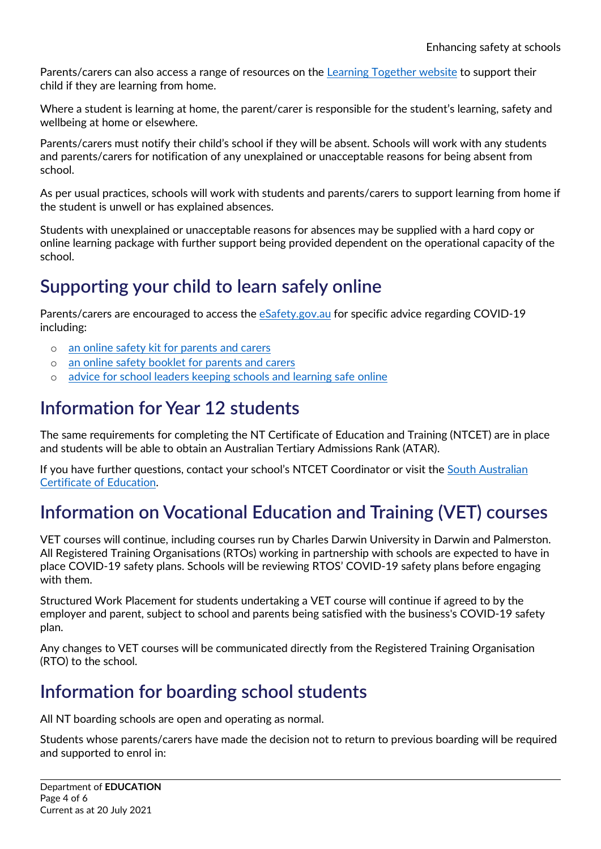Parents/carers can also access a range of resources on the [Learning Together website](https://nt.gov.au/learning/learning-together) to support their child if they are learning from home.

Where a student is learning at home, the parent/carer is responsible for the student's learning, safety and wellbeing at home or elsewhere.

Parents/carers must notify their child's school if they will be absent. Schools will work with any students and parents/carers for notification of any unexplained or unacceptable reasons for being absent from school.

As per usual practices, schools will work with students and parents/carers to support learning from home if the student is unwell or has explained absences.

Students with unexplained or unacceptable reasons for absences may be supplied with a hard copy or online learning package with further support being provided dependent on the operational capacity of the school.

## **Supporting your child to learn safely online**

Parents/carers are encouraged to access the [eSafety.gov.au](https://www.esafety.gov.au/key-issues/covid-19) for specific advice regarding COVID-19 including:

- o [an online safety kit for parents and carers](https://www.esafety.gov.au/about-us/blog/covid-19-online-safety-kit-parents-and-carers)
- o [an online safety booklet for parents and carers](https://www.esafety.gov.au/sites/default/files/2020-04/aus-global-parent-online-safety-advice.pdf)
- o [advice for school leaders keeping schools and learning safe online](https://www.esafety.gov.au/about-us/blog/covid-19-keeping-schools-and-learning-safe-online)

#### **Information for Year 12 students**

The same requirements for completing the NT Certificate of Education and Training (NTCET) are in place and students will be able to obtain an Australian Tertiary Admissions Rank (ATAR).

If you have further questions, contact your school's NTCET Coordinator or visit the [South Australian](https://www.sace.sa.edu.au/)  [Certificate of Education.](https://www.sace.sa.edu.au/)

## **Information on Vocational Education and Training (VET) courses**

VET courses will continue, including courses run by Charles Darwin University in Darwin and Palmerston. All Registered Training Organisations (RTOs) working in partnership with schools are expected to have in place COVID-19 safety plans. Schools will be reviewing RTOS' COVID-19 safety plans before engaging with them.

Structured Work Placement for students undertaking a VET course will continue if agreed to by the employer and parent, subject to school and parents being satisfied with the business's COVID-19 safety plan.

Any changes to VET courses will be communicated directly from the Registered Training Organisation (RTO) to the school.

#### **Information for boarding school students**

All NT boarding schools are open and operating as normal.

Students whose parents/carers have made the decision not to return to previous boarding will be required and supported to enrol in: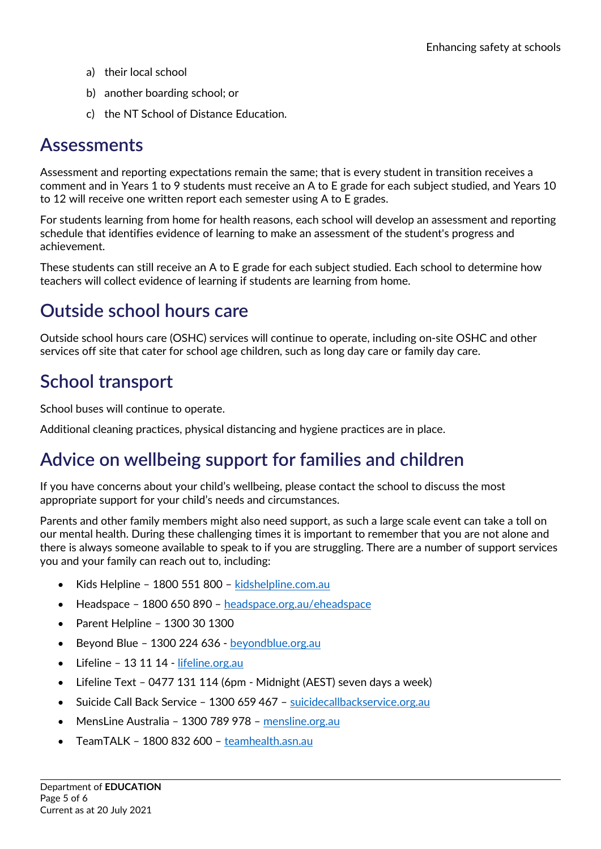- a) their local school
- b) another boarding school; or
- c) the NT School of Distance Education.

#### **Assessments**

Assessment and reporting expectations remain the same; that is every student in transition receives a comment and in Years 1 to 9 students must receive an A to E grade for each subject studied, and Years 10 to 12 will receive one written report each semester using A to E grades.

For students learning from home for health reasons, each school will develop an assessment and reporting schedule that identifies evidence of learning to make an assessment of the student's progress and achievement.

These students can still receive an A to E grade for each subject studied. Each school to determine how teachers will collect evidence of learning if students are learning from home.

#### **Outside school hours care**

Outside school hours care (OSHC) services will continue to operate, including on-site OSHC and other services off site that cater for school age children, such as long day care or family day care.

## **School transport**

School buses will continue to operate.

Additional cleaning practices, physical distancing and hygiene practices are in place.

#### **Advice on wellbeing support for families and children**

If you have concerns about your child's wellbeing, please contact the school to discuss the most appropriate support for your child's needs and circumstances.

Parents and other family members might also need support, as such a large scale event can take a toll on our mental health. During these challenging times it is important to remember that you are not alone and there is always someone available to speak to if you are struggling. There are a number of support services you and your family can reach out to, including:

- Kids Helpline 1800 551 800 [kidshelpline.com.au](https://kidshelpline.com.au/)
- Headspace 1800 650 890 [headspace.org.au/eheadspace](https://headspace.org.au/eheadspace/)
- Parent Helpline 1300 30 1300
- Beyond Blue 1300 224 636 [beyondblue.org.au](https://www.beyondblue.org.au/)
- Lifeline 13 11 14 [lifeline.org.au](https://www.lifeline.org.au/)
- Lifeline Text 0477 131 114 (6pm Midnight (AEST) seven days a week)
- Suicide Call Back Service 1300 659 467 [suicidecallbackservice.org.au](https://www.suicidecallbackservice.org.au/)
- MensLine Australia 1300 789 978 [mensline.org.au](http://www.mensline.org.au/)
- TeamTALK 1800 832 600 [teamhealth.asn.au](https://www.teamhealth.asn.au/news/2020/introducing-teamtalk)